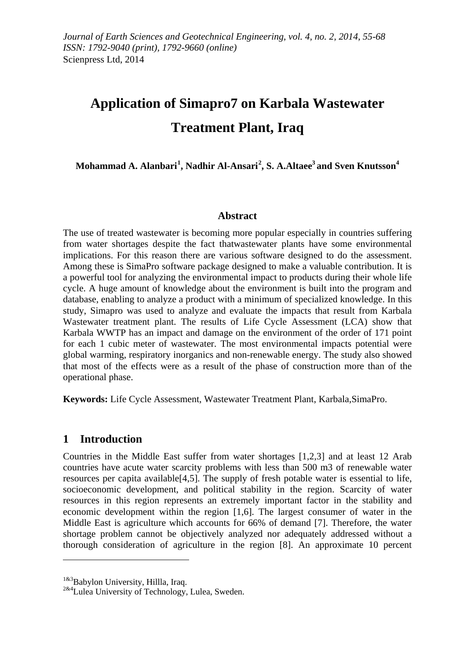# **Application of Simapro7 on Karbala Wastewater Treatment Plant, Iraq**

**Mohammad A. Alanbari[1](#page-0-0) , Nadhir Al-Ansari[2](#page-0-1) , S. A.Altaee3 and Sven Knutsson<sup>4</sup>**

### **Abstract**

The use of treated wastewater is becoming more popular especially in countries suffering from water shortages despite the fact thatwastewater plants have some environmental implications. For this reason there are various software designed to do the assessment. Among these is SimaPro software package designed to make a valuable contribution. It is a powerful tool for analyzing the environmental impact to products during their whole life cycle. A huge amount of knowledge about the environment is built into the program and database, enabling to analyze a product with a minimum of specialized knowledge. In this study, Simapro was used to analyze and evaluate the impacts that result from Karbala Wastewater treatment plant. The results of Life Cycle Assessment (LCA) show that Karbala WWTP has an impact and damage on the environment of the order of 171 point for each 1 cubic meter of wastewater. The most environmental impacts potential were global warming, respiratory inorganics and non-renewable energy. The study also showed that most of the effects were as a result of the phase of construction more than of the operational phase.

**Keywords:** Life Cycle Assessment, Wastewater Treatment Plant, Karbala,SimaPro.

## **1 Introduction**

 $\overline{a}$ 

Countries in the Middle East suffer from water shortages [1,2,3] and at least 12 Arab countries have acute water scarcity problems with less than 500 m3 of renewable water resources per capita available[4,5]. The supply of fresh potable water is essential to life, socioeconomic development, and political stability in the region. Scarcity of water resources in this region represents an extremely important factor in the stability and economic development within the region [1,6]. The largest consumer of water in the Middle East is agriculture which accounts for 66% of demand [7]. Therefore, the water shortage problem cannot be objectively analyzed nor adequately addressed without a thorough consideration of agriculture in the region [8]. An approximate 10 percent

<span id="page-0-1"></span><span id="page-0-0"></span><sup>&</sup>lt;sup>1&3</sup>Babylon University, Hillla, Iraq.<br><sup>2&4</sup>Lulea University of Technology, Lulea, Sweden.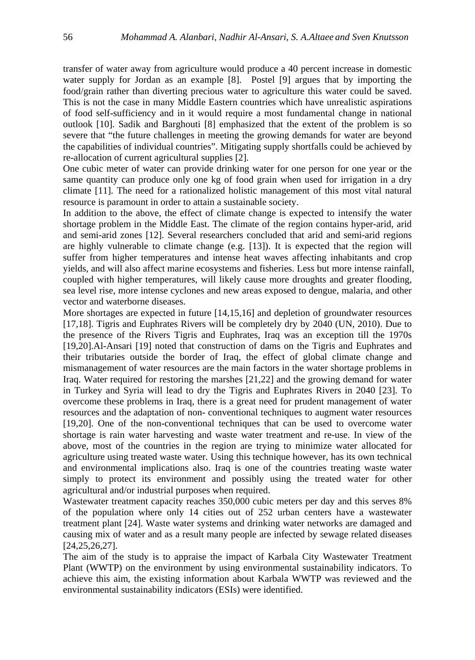transfer of water away from agriculture would produce a 40 percent increase in domestic water supply for Jordan as an example [8]. Postel [9] argues that by importing the food/grain rather than diverting precious water to agriculture this water could be saved. This is not the case in many Middle Eastern countries which have unrealistic aspirations of food self-sufficiency and in it would require a most fundamental change in national outlook [10]. Sadik and Barghouti [8] emphasized that the extent of the problem is so severe that "the future challenges in meeting the growing demands for water are beyond the capabilities of individual countries". Mitigating supply shortfalls could be achieved by re-allocation of current agricultural supplies [2].

One cubic meter of water can provide drinking water for one person for one year or the same quantity can produce only one kg of food grain when used for irrigation in a dry climate [11]. The need for a rationalized holistic management of this most vital natural resource is paramount in order to attain a sustainable society.

In addition to the above, the effect of climate change is expected to intensify the water shortage problem in the Middle East. The climate of the region contains hyper-arid, arid and semi-arid zones [12]. Several researchers concluded that arid and semi-arid regions are highly vulnerable to climate change (e.g.  $[13]$ ). It is expected that the region will suffer from higher temperatures and intense heat waves affecting inhabitants and crop yields, and will also affect marine ecosystems and fisheries. Less but more intense rainfall, coupled with higher temperatures, will likely cause more droughts and greater flooding, sea level rise, more intense cyclones and new areas exposed to dengue, malaria, and other vector and waterborne diseases.

More shortages are expected in future [14,15,16] and depletion of groundwater resources [17,18]. Tigris and Euphrates Rivers will be completely dry by 2040 (UN, 2010). Due to the presence of the Rivers Tigris and Euphrates, Iraq was an exception till the 1970s [19,20].Al-Ansari [19] noted that construction of dams on the Tigris and Euphrates and their tributaries outside the border of Iraq, the effect of global climate change and mismanagement of water resources are the main factors in the water shortage problems in Iraq. Water required for restoring the marshes [21,22] and the growing demand for water in Turkey and Syria will lead to dry the Tigris and Euphrates Rivers in 2040 [23]. To overcome these problems in Iraq, there is a great need for prudent management of water resources and the adaptation of non- conventional techniques to augment water resources [19,20]. One of the non-conventional techniques that can be used to overcome water shortage is rain water harvesting and waste water treatment and re-use. In view of the above, most of the countries in the region are trying to minimize water allocated for agriculture using treated waste water. Using this technique however, has its own technical and environmental implications also. Iraq is one of the countries treating waste water simply to protect its environment and possibly using the treated water for other agricultural and/or industrial purposes when required.

Wastewater treatment capacity reaches 350,000 cubic meters per day and this serves 8% of the population where only 14 cities out of 252 urban centers have a wastewater treatment plant [24]. Waste water systems and drinking water networks are damaged and causing mix of water and as a result many people are infected by sewage related diseases [24,25,26,27].

The aim of the study is to appraise the impact of Karbala City Wastewater Treatment Plant (WWTP) on the environment by using environmental sustainability indicators. To achieve this aim, the existing information about Karbala WWTP was reviewed and the environmental sustainability indicators (ESIs) were identified.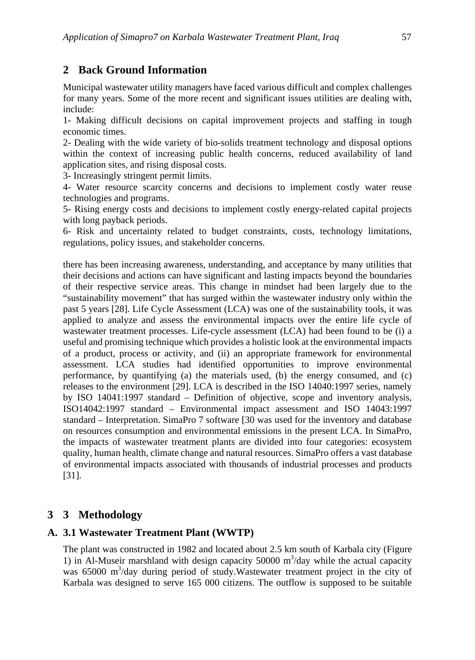# **2 Back Ground Information**

Municipal wastewater utility managers have faced various difficult and complex challenges for many years. Some of the more recent and significant issues utilities are dealing with, include:

1- Making difficult decisions on capital improvement projects and staffing in tough economic times.

2- Dealing with the wide variety of bio-solids treatment technology and disposal options within the context of increasing public health concerns, reduced availability of land application sites, and rising disposal costs.

3- Increasingly stringent permit limits.

4- Water resource scarcity concerns and decisions to implement costly water reuse technologies and programs.

5- Rising energy costs and decisions to implement costly energy-related capital projects with long payback periods.

6- Risk and uncertainty related to budget constraints, costs, technology limitations, regulations, policy issues, and stakeholder concerns.

there has been increasing awareness, understanding, and acceptance by many utilities that their decisions and actions can have significant and lasting impacts beyond the boundaries of their respective service areas. This change in mindset had been largely due to the "sustainability movement" that has surged within the wastewater industry only within the past 5 years [28]. Life Cycle Assessment (LCA) was one of the sustainability tools, it was applied to analyze and assess the environmental impacts over the entire life cycle of wastewater treatment processes. Life-cycle assessment (LCA) had been found to be (i) a useful and promising technique which provides a holistic look at the environmental impacts of a product, process or activity, and (ii) an appropriate framework for environmental assessment. LCA studies had identified opportunities to improve environmental performance, by quantifying (a) the materials used, (b) the energy consumed, and (c) releases to the environment [29]. LCA is described in the ISO 14040:1997 series, namely by ISO 14041:1997 standard – Definition of objective, scope and inventory analysis, ISO14042:1997 standard – Environmental impact assessment and ISO 14043:1997 standard – Interpretation. SimaPro 7 software [30 was used for the inventory and database on resources consumption and environmental emissions in the present LCA. In SimaPro, the impacts of wastewater treatment plants are divided into four categories: ecosystem quality, human health, climate change and natural resources. SimaPro offers a vast database of environmental impacts associated with thousands of industrial processes and products [31].

## **3 3 Methodology**

## **A. 3.1 Wastewater Treatment Plant (WWTP)**

The plant was constructed in 1982 and located about 2.5 km south of Karbala city (Figure 1) in Al-Museir marshland with design capacity  $50000 \text{ m}^3/\text{day}$  while the actual capacity was 65000 m<sup>3</sup>/day during period of study.Wastewater treatment project in the city of Karbala was designed to serve 165 000 citizens. The outflow is supposed to be suitable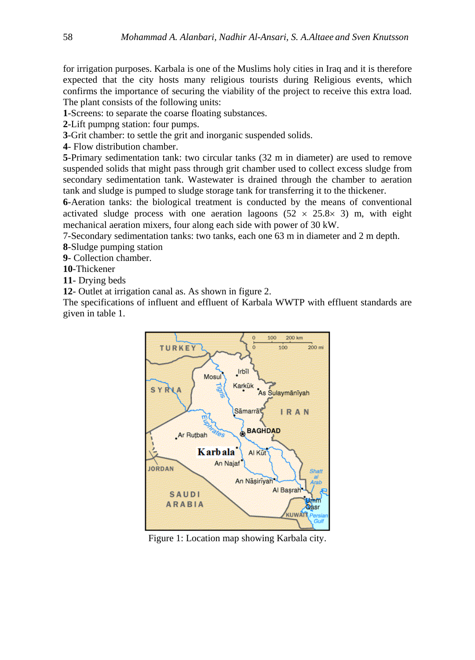for irrigation purposes. Karbala is one of the Muslims holy cities in Iraq and it is therefore expected that the city hosts many religious tourists during Religious events, which confirms the importance of securing the viability of the project to receive this extra load. The plant consists of the following units:

**1**-Screens: to separate the coarse floating substances.

**2**-Lift pumpng station: four pumps.

**3**-Grit chamber: to settle the grit and inorganic suspended solids.

**4**- Flow distribution chamber.

**5**-Primary sedimentation tank: two circular tanks (32 m in diameter) are used to remove suspended solids that might pass through grit chamber used to collect excess sludge from secondary sedimentation tank. Wastewater is drained through the chamber to aeration tank and sludge is pumped to sludge storage tank for transferring it to the thickener.

**6**-Aeration tanks: the biological treatment is conducted by the means of conventional activated sludge process with one aeration lagoons  $(52 \times 25.8 \times 3)$  m, with eight mechanical aeration mixers, four along each side with power of 30 kW.

7-Secondary sedimentation tanks: two tanks, each one 63 m in diameter and 2 m depth.

**8**-Sludge pumping station

**9**- Collection chamber.

**10**-Thickener

**11**- Drying beds

**12**- Outlet at irrigation canal as. As shown in figure 2.

The specifications of influent and effluent of Karbala WWTP with effluent standards are given in table 1.



Figure 1: Location map showing Karbala city.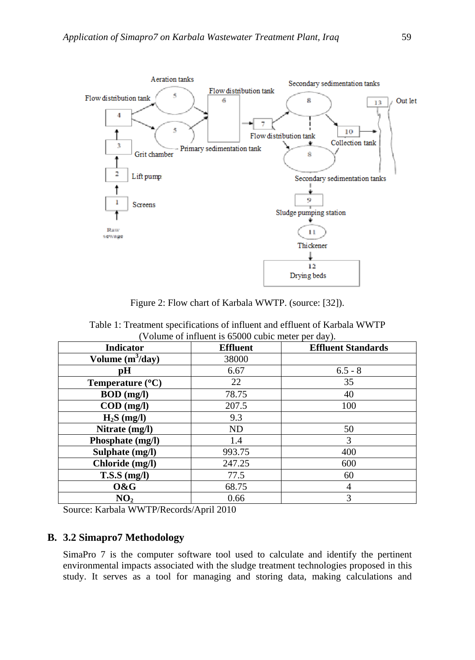

Figure 2: Flow chart of Karbala WWTP. (source: [32]).

| (Volume of influent is 65000 cubic meter per day). |                 |                           |  |  |  |
|----------------------------------------------------|-----------------|---------------------------|--|--|--|
| <b>Indicator</b>                                   | <b>Effluent</b> | <b>Effluent Standards</b> |  |  |  |
| Volume $(m^3/day)$                                 | 38000           |                           |  |  |  |
| рH                                                 | 6.67            | $6.5 - 8$                 |  |  |  |
| Temperature $(^{\circ}C)$                          | 22              | 35                        |  |  |  |
| $BOD$ (mg/l)                                       | 78.75           | 40                        |  |  |  |
| $\text{COD}$ (mg/l)                                | 207.5           | 100                       |  |  |  |
| $H_2S$ (mg/l)                                      | 9.3             |                           |  |  |  |
| Nitrate (mg/l)                                     | ND              | 50                        |  |  |  |
| Phosphate (mg/l)                                   | 1.4             | 3                         |  |  |  |
| Sulphate (mg/l)                                    | 993.75          | 400                       |  |  |  |
| Chloride (mg/l)                                    | 247.25          | 600                       |  |  |  |
| $T.S.S$ (mg/l)                                     | 77.5            | 60                        |  |  |  |
| O&G                                                | 68.75           | 4                         |  |  |  |
| NO <sub>2</sub>                                    | 0.66            | 3                         |  |  |  |

Table 1: Treatment specifications of influent and effluent of Karbala WWTP

Source: Karbala WWTP/Records/April 2010

## **B. 3.2 Simapro7 Methodology**

SimaPro 7 is the computer software tool used to calculate and identify the pertinent environmental impacts associated with the sludge treatment technologies proposed in this study. It serves as a tool for managing and storing data, making calculations and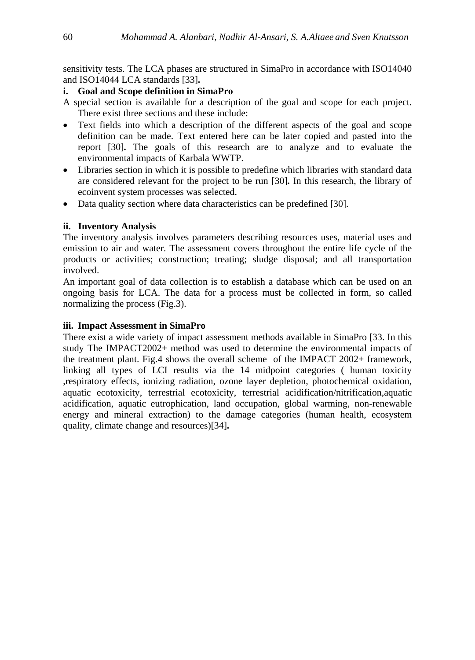sensitivity tests. The LCA phases are structured in SimaPro in accordance with ISO14040 and ISO14044 LCA standards [33]**.**

#### **i. Goal and Scope definition in SimaPro**

- A special section is available for a description of the goal and scope for each project. There exist three sections and these include:
- Text fields into which a description of the different aspects of the goal and scope definition can be made. Text entered here can be later copied and pasted into the report [30]**.** The goals of this research are to analyze and to evaluate the environmental impacts of Karbala WWTP.
- Libraries section in which it is possible to predefine which libraries with standard data are considered relevant for the project to be run [30]**.** In this research, the library of ecoinvent system processes was selected.
- Data quality section where data characteristics can be predefined [30].

### **ii. Inventory Analysis**

The inventory analysis involves parameters describing resources uses, material uses and emission to air and water. The assessment covers throughout the entire life cycle of the products or activities; construction; treating; sludge disposal; and all transportation involved.

An important goal of data collection is to establish a database which can be used on an ongoing basis for LCA. The data for a process must be collected in form, so called normalizing the process (Fig.3).

#### **iii. Impact Assessment in SimaPro**

There exist a wide variety of impact assessment methods available in SimaPro [33. In this study The IMPACT2002+ method was used to determine the environmental impacts of the treatment plant. Fig.4 shows the overall scheme of the IMPACT 2002+ framework, linking all types of LCI results via the 14 midpoint categories ( human toxicity ,respiratory effects, ionizing radiation, ozone layer depletion, photochemical oxidation, aquatic ecotoxicity, terrestrial ecotoxicity, terrestrial acidification/nitrification,aquatic acidification, aquatic eutrophication, land occupation, global warming, non-renewable energy and mineral extraction) to the damage categories (human health, ecosystem quality, climate change and resources)[34]**.**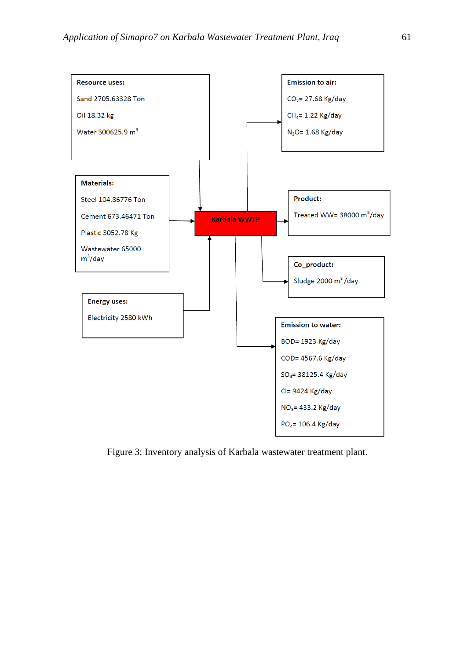

Figure 3: Inventory analysis of Karbala wastewater treatment plant.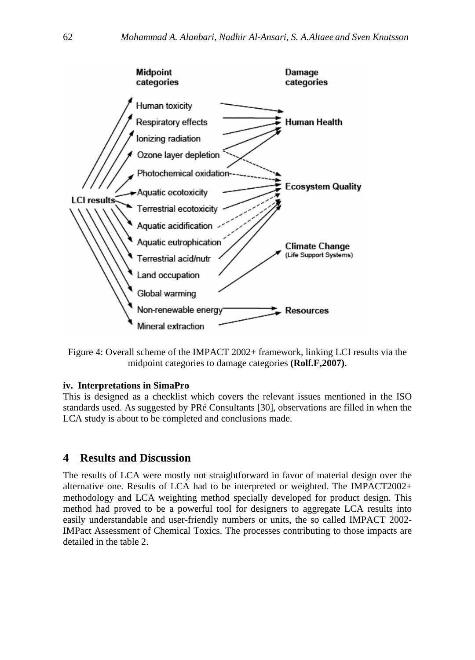

Figure 4: Overall scheme of the IMPACT 2002+ framework, linking LCI results via the midpoint categories to damage categories **(Rolf.F,2007).**

#### **iv. Interpretations in SimaPro**

This is designed as a checklist which covers the relevant issues mentioned in the ISO standards used. As suggested by PRé Consultants [30], observations are filled in when the LCA study is about to be completed and conclusions made.

#### **4 Results and Discussion**

The results of LCA were mostly not straightforward in favor of material design over the alternative one. Results of LCA had to be interpreted or weighted. The IMPACT2002+ methodology and LCA weighting method specially developed for product design. This method had proved to be a powerful tool for designers to aggregate LCA results into easily understandable and user-friendly numbers or units, the so called IMPACT 2002- IMPact Assessment of Chemical Toxics. The processes contributing to those impacts are detailed in the table 2.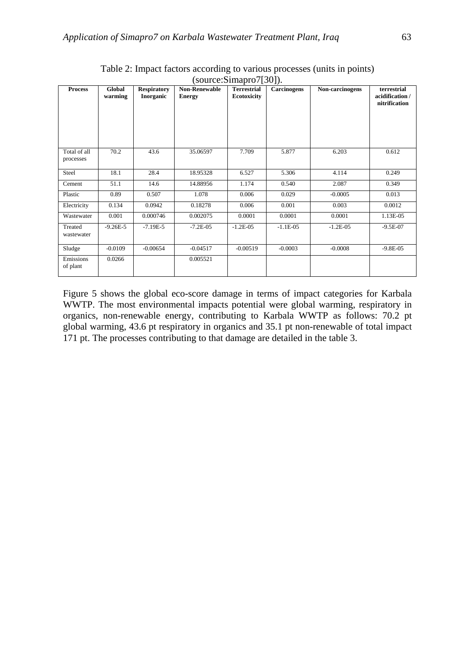| <b>Process</b>            | Global<br>warming | <b>Respiratory</b><br>Inorganic | <b>Non-Renewable</b><br><b>Energy</b> | $100$ at $\bullet$ . Extended by $100$<br><b>Terrestrial</b><br><b>Ecotoxicity</b> | <b>Carcinogens</b> | Non-carcinogens | terrestrial<br>acidification/<br>nitrification |
|---------------------------|-------------------|---------------------------------|---------------------------------------|------------------------------------------------------------------------------------|--------------------|-----------------|------------------------------------------------|
| Total of all<br>processes | 70.2              | 43.6                            | 35.06597                              | 7.709                                                                              | 5.877              | 6.203           | 0.612                                          |
| Steel                     | 18.1              | 28.4                            | 18.95328                              | 6.527                                                                              | 5.306              | 4.114           | 0.249                                          |
| Cement                    | 51.1              | 14.6                            | 14.88956                              | 1.174                                                                              | 0.540              | 2.087           | 0.349                                          |
| Plastic                   | 0.89              | 0.507                           | 1.078                                 | 0.006                                                                              | 0.029              | $-0.0005$       | 0.013                                          |
| Electricity               | 0.134             | 0.0942                          | 0.18278                               | 0.006                                                                              | 0.001              | 0.003           | 0.0012                                         |
| Wastewater                | 0.001             | 0.000746                        | 0.002075                              | 0.0001                                                                             | 0.0001             | 0.0001          | 1.13E-05                                       |
| Treated<br>wastewater     | $-9.26E - 5$      | $-7.19E-5$                      | $-7.2E - 05$                          | $-1.2E-05$                                                                         | $-1.1E-05$         | $-1.2E-05$      | $-9.5E-07$                                     |
| Sludge                    | $-0.0109$         | $-0.00654$                      | $-0.04517$                            | $-0.00519$                                                                         | $-0.0003$          | $-0.0008$       | $-9.8E - 05$                                   |
| Emissions<br>of plant     | 0.0266            |                                 | 0.005521                              |                                                                                    |                    |                 |                                                |

Table 2: Impact factors according to various processes (units in points) (source:Simapro7[30]).

Figure 5 shows the global eco-score damage in terms of impact categories for Karbala WWTP. The most environmental impacts potential were global warming, respiratory in organics, non-renewable energy, contributing to Karbala WWTP as follows: 70.2 pt global warming, 43.6 pt respiratory in organics and 35.1 pt non-renewable of total impact 171 pt. The processes contributing to that damage are detailed in the table 3.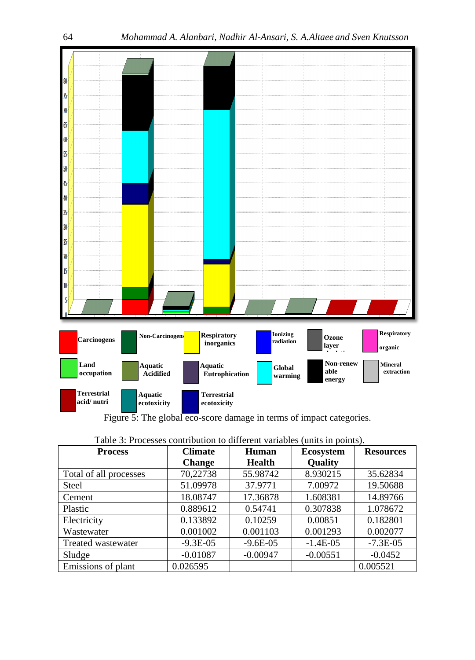

Figure 5: The global eco-score damage in terms of impact categories.

| <b>Process</b>         | <b>Climate</b> | Human         | <b>Ecosystem</b> | <b>Resources</b> |  |
|------------------------|----------------|---------------|------------------|------------------|--|
|                        | <b>Change</b>  | <b>Health</b> | <b>Quality</b>   |                  |  |
| Total of all processes | 70,22738       | 55.98742      | 8.930215         | 35.62834         |  |
| <b>Steel</b>           | 51.09978       | 37.9771       | 7.00972          | 19.50688         |  |
| Cement                 | 18.08747       | 17.36878      | 1.608381         | 14.89766         |  |
| Plastic                | 0.889612       | 0.54741       | 0.307838         | 1.078672         |  |
| Electricity            | 0.133892       | 0.10259       | 0.00851          | 0.182801         |  |
| Wastewater             | 0.001002       | 0.001103      | 0.001293         | 0.002077         |  |
| Treated wastewater     | $-9.3E-05$     | $-9.6E-05$    | $-1.4E-05$       | $-7.3E-05$       |  |
| Sludge                 | $-0.01087$     | $-0.00947$    | $-0.00551$       | $-0.0452$        |  |
| Emissions of plant     | 0.026595       |               |                  | 0.005521         |  |

| Table 3: Processes contribution to different variables (units in points). |  |  |  |  |  |
|---------------------------------------------------------------------------|--|--|--|--|--|
|---------------------------------------------------------------------------|--|--|--|--|--|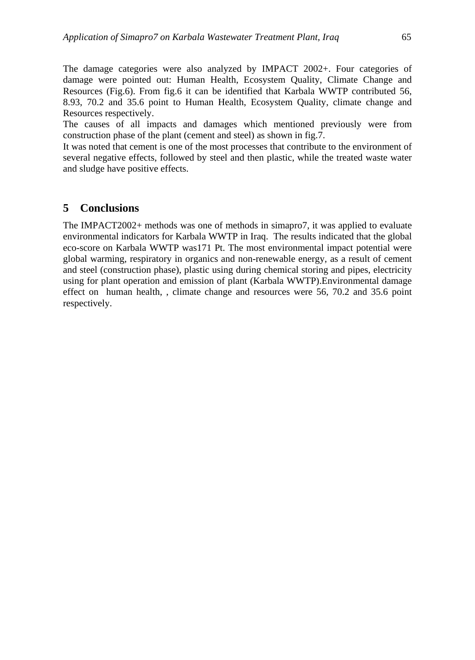The damage categories were also analyzed by IMPACT 2002+. Four categories of damage were pointed out: Human Health, Ecosystem Quality, Climate Change and Resources (Fig.6). From fig.6 it can be identified that Karbala WWTP contributed 56, 8.93, 70.2 and 35.6 point to Human Health, Ecosystem Quality, climate change and Resources respectively.

The causes of all impacts and damages which mentioned previously were from construction phase of the plant (cement and steel) as shown in fig.7.

It was noted that cement is one of the most processes that contribute to the environment of several negative effects, followed by steel and then plastic, while the treated waste water and sludge have positive effects.

### **5 Conclusions**

The IMPACT2002+ methods was one of methods in simapro7, it was applied to evaluate environmental indicators for Karbala WWTP in Iraq. The results indicated that the global eco-score on Karbala WWTP was171 Pt. The most environmental impact potential were global warming, respiratory in organics and non-renewable energy, as a result of cement and steel (construction phase), plastic using during chemical storing and pipes, electricity using for plant operation and emission of plant (Karbala WWTP).Environmental damage effect on human health, , climate change and resources were 56, 70.2 and 35.6 point respectively.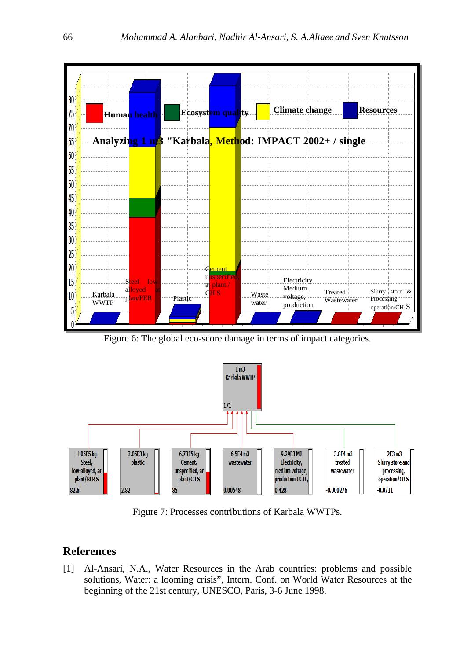

Figure 6: The global eco-score damage in terms of impact categories.



Figure 7: Processes contributions of Karbala WWTPs.

## **References**

[1] Al-Ansari, N.A., Water Resources in the Arab countries: problems and possible solutions, Water: a looming crisis", Intern. Conf. on World Water Resources at the beginning of the 21st century, UNESCO, Paris, 3-6 June 1998.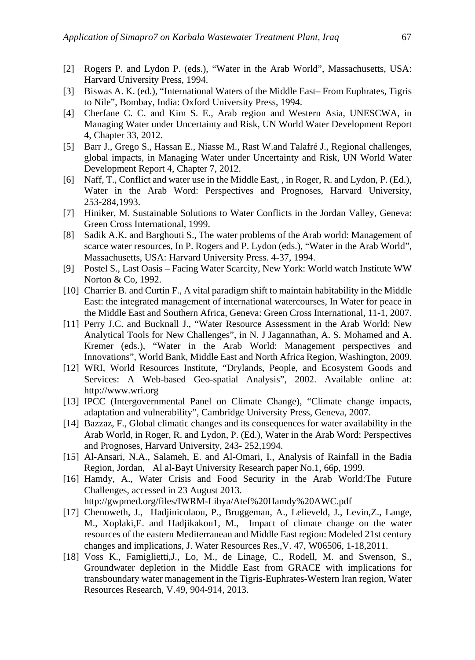- [2] Rogers P. and Lydon P. (eds.), "Water in the Arab World", Massachusetts, USA: Harvard University Press, 1994.
- [3] Biswas A. K. (ed.), "International Waters of the Middle East– From Euphrates, Tigris to Nile", Bombay, India: Oxford University Press, 1994.
- [4] Cherfane C. C. and Kim S. E., Arab region and Western Asia, UNESCWA, in Managing Water under Uncertainty and Risk, UN World Water Development Report 4, Chapter 33, 2012.
- [5] Barr J., Grego S., Hassan E., Niasse M., Rast W.and Talafré J., Regional challenges, global impacts, in Managing Water under Uncertainty and Risk, UN World Water Development Report 4, Chapter 7, 2012.
- [6] Naff, T., Conflict and water use in the Middle East, , in Roger, R. and Lydon, P. (Ed.), Water in the Arab Word: Perspectives and Prognoses, Harvard University, 253-284,1993.
- [7] Hiniker, M. Sustainable Solutions to Water Conflicts in the Jordan Valley, Geneva: Green Cross International, 1999.
- [8] Sadik A.K. and Barghouti S., The water problems of the Arab world: Management of scarce water resources, In P. Rogers and P. Lydon (eds.), "Water in the Arab World", Massachusetts, USA: Harvard University Press. 4-37, 1994.
- [9] Postel S., Last Oasis Facing Water Scarcity, New York: World watch Institute WW Norton & Co, 1992.
- [10] Charrier B. and Curtin F., A vital paradigm shift to maintain habitability in the Middle East: the integrated management of international watercourses, In Water for peace in the Middle East and Southern Africa, Geneva: Green Cross International, 11-1, 2007.
- [11] Perry J.C. and Bucknall J., "Water Resource Assessment in the Arab World: New Analytical Tools for New Challenges", in N. J Jagannathan, A. S. Mohamed and A. Kremer (eds.), "Water in the Arab World: Management perspectives and Innovations", World Bank, Middle East and North Africa Region, Washington, 2009.
- [12] WRI, World Resources Institute, "Drylands, People, and Ecosystem Goods and Services: A Web-based Geo-spatial Analysis", 2002. Available online at: http://www.wri.org
- [13] IPCC (Intergovernmental Panel on Climate Change), "Climate change impacts, adaptation and vulnerability", Cambridge University Press, Geneva, 2007.
- [14] Bazzaz, F., Global climatic changes and its consequences for water availability in the Arab World, in Roger, R. and Lydon, P. (Ed.), Water in the Arab Word: Perspectives and Prognoses, Harvard University, 243- 252,1994.
- [15] Al-Ansari, N.A., Salameh, E. and Al-Omari, I., Analysis of Rainfall in the Badia Region, Jordan, Al al-Bayt University Research paper No.1, 66p, 1999.
- [16] Hamdy, A., Water Crisis and Food Security in the Arab World:The Future Challenges, accessed in 23 August 2013.
	- http://gwpmed.org/files/IWRM-Libya/Atef%20Hamdy%20AWC.pdf
- [17] Chenoweth, J., Hadjinicolaou, P., Bruggeman, A., Lelieveld, J., Levin,Z., Lange, M., Xoplaki,E. and Hadjikakou1, M., Impact of climate change on the water resources of the eastern Mediterranean and Middle East region: Modeled 21st century changes and implications, J. Water Resources Res.,V. 47, W06506, 1-18,2011.
- [18] Voss K., Famiglietti,J., Lo, M., de Linage, C., Rodell, M. and Swenson, S., Groundwater depletion in the Middle East from GRACE with implications for transboundary water management in the Tigris-Euphrates-Western Iran region, Water Resources Research, V.49, 904-914, 2013.